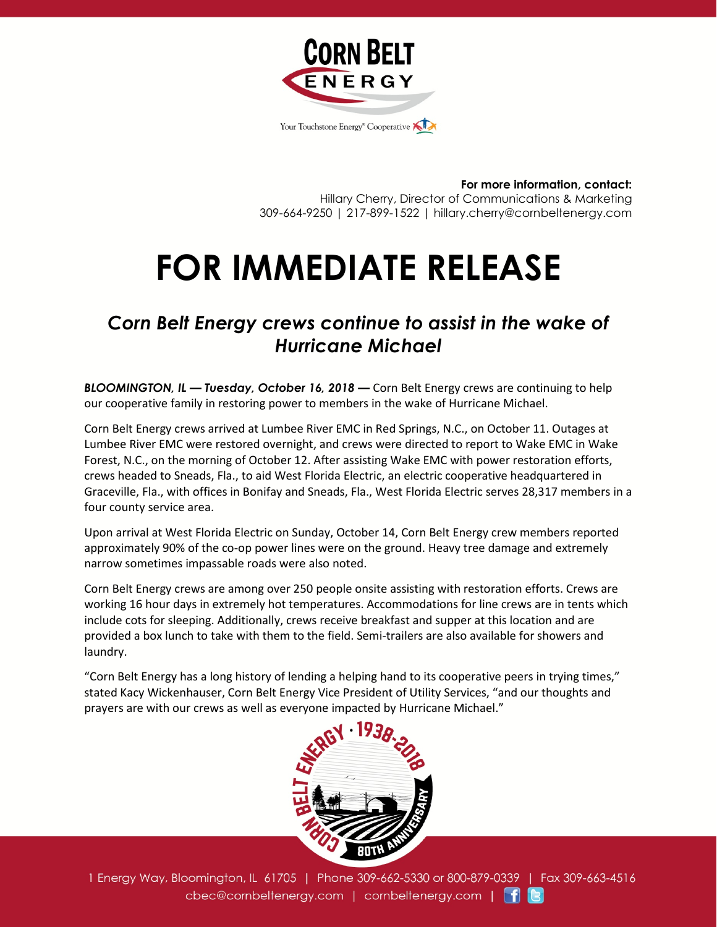

**For more information, contact:** Hillary Cherry, Director of Communications & Marketing 309-664-9250 | 217-899-1522 | hillary.cherry@cornbeltenergy.com

## **FOR IMMEDIATE RELEASE**

## *Corn Belt Energy crews continue to assist in the wake of Hurricane Michael*

*BLOOMINGTON, IL — Tuesday, October 16, 2018 —* Corn Belt Energy crews are continuing to help our cooperative family in restoring power to members in the wake of Hurricane Michael.

Corn Belt Energy crews arrived at Lumbee River EMC in Red Springs, N.C., on October 11. Outages at Lumbee River EMC were restored overnight, and crews were directed to report to Wake EMC in Wake Forest, N.C., on the morning of October 12. After assisting Wake EMC with power restoration efforts, crews headed to Sneads, Fla., to aid West Florida Electric, an electric cooperative headquartered in Graceville, Fla., with offices in Bonifay and Sneads, Fla., West Florida Electric serves 28,317 members in a four county service area.

Upon arrival at West Florida Electric on Sunday, October 14, Corn Belt Energy crew members reported approximately 90% of the co-op power lines were on the ground. Heavy tree damage and extremely narrow sometimes impassable roads were also noted.

Corn Belt Energy crews are among over 250 people onsite assisting with restoration efforts. Crews are working 16 hour days in extremely hot temperatures. Accommodations for line crews are in tents which include cots for sleeping. Additionally, crews receive breakfast and supper at this location and are provided a box lunch to take with them to the field. Semi-trailers are also available for showers and laundry.

"Corn Belt Energy has a long history of lending a helping hand to its cooperative peers in trying times," stated Kacy Wickenhauser, Corn Belt Energy Vice President of Utility Services, "and our thoughts and prayers are with our crews as well as everyone impacted by Hurricane Michael."



1 Energy Way, Bloomington, IL 61705 | Phone 309-662-5330 or 800-879-0339 | Fax 309-663-4516 cbec@cornbeltenergy.com | cornbeltenergy.com | f